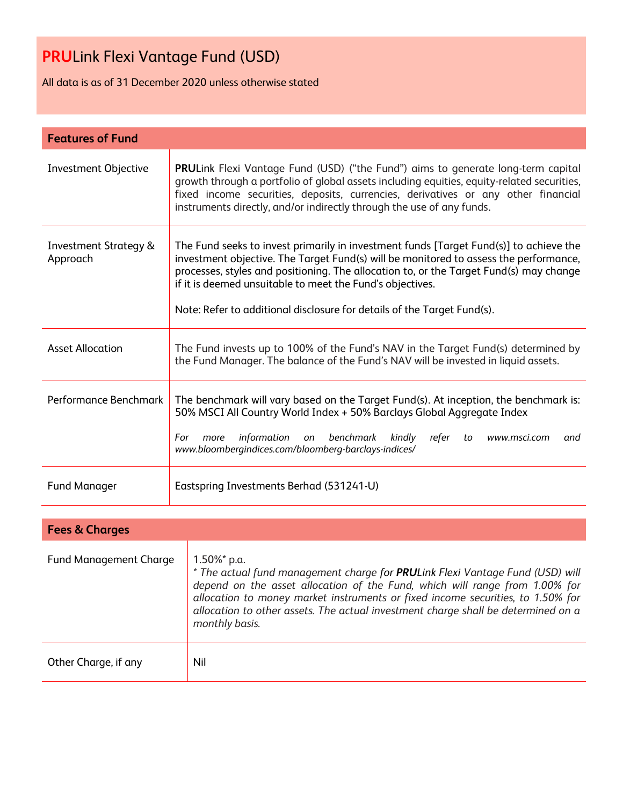All data is as of 31 December 2020 unless otherwise stated

| <b>Features of Fund</b>                      |                                                                                                                                                                                                                                                                                                                                                                                                                   |  |  |  |
|----------------------------------------------|-------------------------------------------------------------------------------------------------------------------------------------------------------------------------------------------------------------------------------------------------------------------------------------------------------------------------------------------------------------------------------------------------------------------|--|--|--|
| Investment Objective                         | PRULink Flexi Vantage Fund (USD) ("the Fund") aims to generate long-term capital<br>growth through a portfolio of global assets including equities, equity-related securities,<br>fixed income securities, deposits, currencies, derivatives or any other financial<br>instruments directly, and/or indirectly through the use of any funds.                                                                      |  |  |  |
| <b>Investment Strategy &amp;</b><br>Approach | The Fund seeks to invest primarily in investment funds [Target Fund(s)] to achieve the<br>investment objective. The Target Fund(s) will be monitored to assess the performance,<br>processes, styles and positioning. The allocation to, or the Target Fund(s) may change<br>if it is deemed unsuitable to meet the Fund's objectives.<br>Note: Refer to additional disclosure for details of the Target Fund(s). |  |  |  |
| <b>Asset Allocation</b>                      | The Fund invests up to 100% of the Fund's NAV in the Target Fund(s) determined by<br>the Fund Manager. The balance of the Fund's NAV will be invested in liquid assets.                                                                                                                                                                                                                                           |  |  |  |
| Performance Benchmark                        | The benchmark will vary based on the Target Fund(s). At inception, the benchmark is:<br>50% MSCI All Country World Index + 50% Barclays Global Aggregate Index<br>benchmark<br>information<br>kindly<br>refer<br>For<br>more<br>on<br>to<br>www.msci.com<br>and<br>www.bloombergindices.com/bloomberg-barclays-indices/                                                                                           |  |  |  |
| <b>Fund Manager</b>                          | Eastspring Investments Berhad (531241-U)                                                                                                                                                                                                                                                                                                                                                                          |  |  |  |

| <b>Fees &amp; Charges</b>     |                                                                                                                                                                                                                                                                                                                                                                           |
|-------------------------------|---------------------------------------------------------------------------------------------------------------------------------------------------------------------------------------------------------------------------------------------------------------------------------------------------------------------------------------------------------------------------|
| <b>Fund Management Charge</b> | $1.50\%$ * p.a.<br>* The actual fund management charge for PRULink Flexi Vantage Fund (USD) will<br>depend on the asset allocation of the Fund, which will range from 1.00% for<br>allocation to money market instruments or fixed income securities, to 1.50% for<br>allocation to other assets. The actual investment charge shall be determined on a<br>monthly basis. |
| Other Charge, if any          | Nil                                                                                                                                                                                                                                                                                                                                                                       |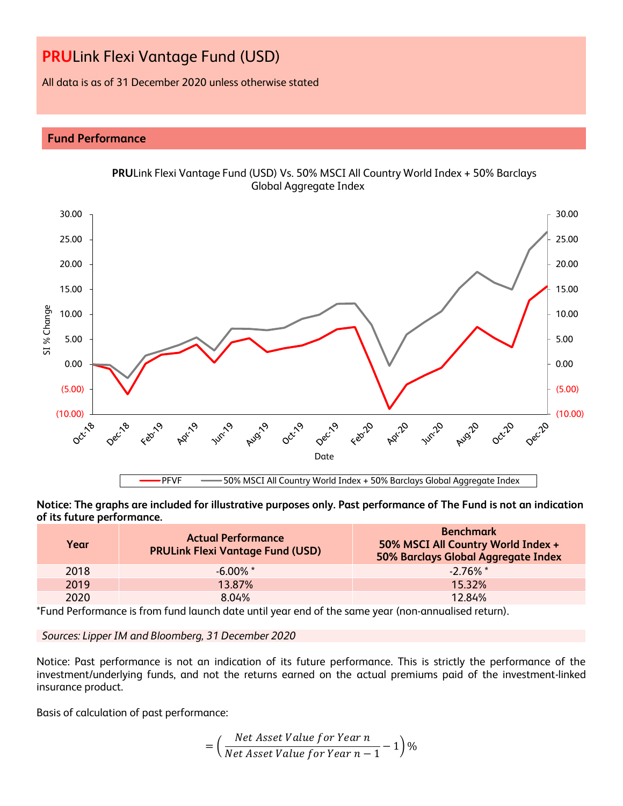All data is as of 31 December 2020 unless otherwise stated

# **Fund Performance**



**Notice: The graphs are included for illustrative purposes only. Past performance of The Fund is not an indication of its future performance.**

| Year | <b>Actual Performance</b><br><b>PRULink Flexi Vantage Fund (USD)</b> | <b>Benchmark</b><br>50% MSCI All Country World Index +<br>50% Barclays Global Aggregate Index |
|------|----------------------------------------------------------------------|-----------------------------------------------------------------------------------------------|
| 2018 | $-6.00\%$ *                                                          | $-2.76\%$ *                                                                                   |
| 2019 | 13.87%                                                               | 15.32%                                                                                        |
| 2020 | 8.04%                                                                | 12.84%                                                                                        |

\*Fund Performance is from fund launch date until year end of the same year (non-annualised return).

*Sources: Lipper IM and Bloomberg, 31 December 2020*

Notice: Past performance is not an indication of its future performance. This is strictly the performance of the investment/underlying funds, and not the returns earned on the actual premiums paid of the investment-linked insurance product.

Basis of calculation of past performance:

$$
= \left(\frac{Net\ Asset\ Value\ for\ Year\ n}{Net\ Asset\ Value\ for\ Year\ n-1} - 1\right)\%
$$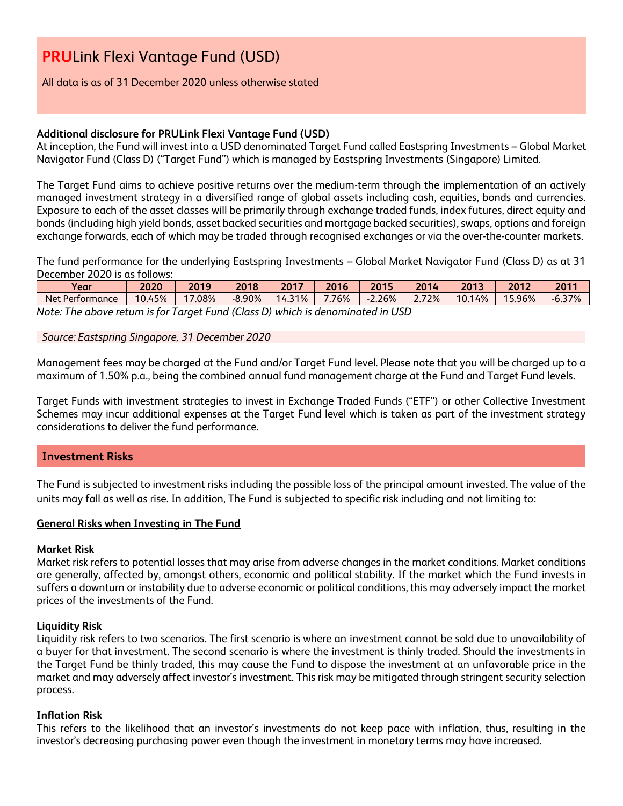## All data is as of 31 December 2020 unless otherwise stated

# **Additional disclosure for PRULink Flexi Vantage Fund (USD)**

At inception, the Fund will invest into a USD denominated Target Fund called Eastspring Investments – Global Market Navigator Fund (Class D) ("Target Fund") which is managed by Eastspring Investments (Singapore) Limited.

The Target Fund aims to achieve positive returns over the medium-term through the implementation of an actively managed investment strategy in a diversified range of global assets including cash, equities, bonds and currencies. Exposure to each of the asset classes will be primarily through exchange traded funds, index futures, direct equity and bonds (including high yield bonds, asset backed securities and mortgage backed securities), swaps, options and foreign exchange forwards, each of which may be traded through recognised exchanges or via the over-the-counter markets.

The fund performance for the underlying Eastspring Investments – Global Market Navigator Fund (Class D) as at 31 December 2020 is as follows:

| Year                                                                            | 2020   | 2019     | 2018     | 2017        | 2016  | 201 <sup>F</sup> | 2014 | 2013   | 2012   | 2011     |
|---------------------------------------------------------------------------------|--------|----------|----------|-------------|-------|------------------|------|--------|--------|----------|
| Net Performance                                                                 | 10.45% | $0.08\%$ | $-8.90%$ | 31%<br>14.5 | 7.76% | 2.26%            | 72%  | 10.14% | 15.96% | $-6.37%$ |
| Note: The shous return is far Target Fund (Class D) which is denominated in UCD |        |          |          |             |       |                  |      |        |        |          |

*Note: The above return is for Target Fund (Class D) which is denominated in USD*

*Source: Eastspring Singapore, 31 December 2020*

Management fees may be charged at the Fund and/or Target Fund level. Please note that you will be charged up to a maximum of 1.50% p.a., being the combined annual fund management charge at the Fund and Target Fund levels.

Target Funds with investment strategies to invest in Exchange Traded Funds ("ETF") or other Collective Investment Schemes may incur additional expenses at the Target Fund level which is taken as part of the investment strategy considerations to deliver the fund performance.

# **Investment Risks**

The Fund is subjected to investment risks including the possible loss of the principal amount invested. The value of the units may fall as well as rise. In addition, The Fund is subjected to specific risk including and not limiting to:

### **General Risks when Investing in The Fund**

### **Market Risk**

Market risk refers to potential losses that may arise from adverse changes in the market conditions. Market conditions are generally, affected by, amongst others, economic and political stability. If the market which the Fund invests in suffers a downturn or instability due to adverse economic or political conditions, this may adversely impact the market prices of the investments of the Fund.

### **Liquidity Risk**

Liquidity risk refers to two scenarios. The first scenario is where an investment cannot be sold due to unavailability of a buyer for that investment. The second scenario is where the investment is thinly traded. Should the investments in the Target Fund be thinly traded, this may cause the Fund to dispose the investment at an unfavorable price in the market and may adversely affect investor's investment. This risk may be mitigated through stringent security selection process.

### **Inflation Risk**

This refers to the likelihood that an investor's investments do not keep pace with inflation, thus, resulting in the investor's decreasing purchasing power even though the investment in monetary terms may have increased.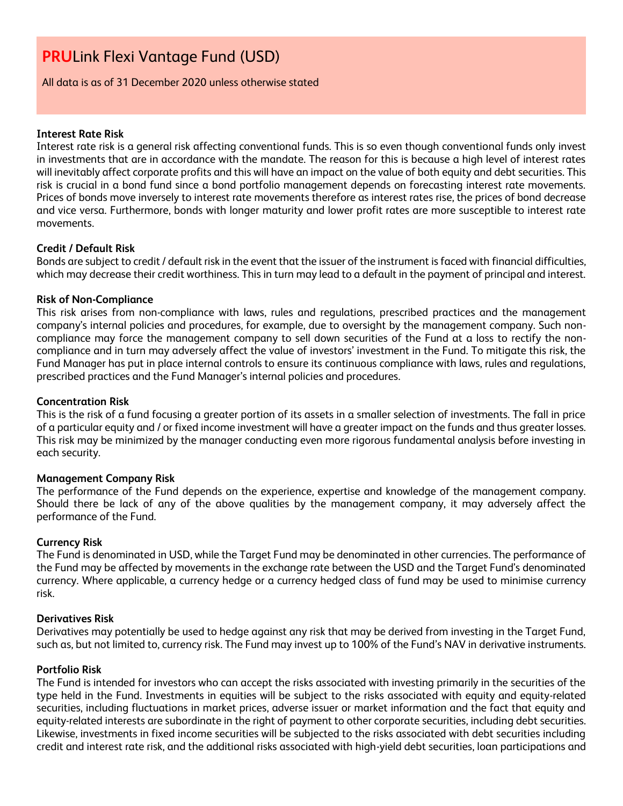All data is as of 31 December 2020 unless otherwise stated

### **Interest Rate Risk**

Interest rate risk is a general risk affecting conventional funds. This is so even though conventional funds only invest in investments that are in accordance with the mandate. The reason for this is because a high level of interest rates will inevitably affect corporate profits and this will have an impact on the value of both equity and debt securities. This risk is crucial in a bond fund since a bond portfolio management depends on forecasting interest rate movements. Prices of bonds move inversely to interest rate movements therefore as interest rates rise, the prices of bond decrease and vice versa. Furthermore, bonds with longer maturity and lower profit rates are more susceptible to interest rate movements.

### **Credit / Default Risk**

Bonds are subject to credit / default risk in the event that the issuer of the instrument is faced with financial difficulties, which may decrease their credit worthiness. This in turn may lead to a default in the payment of principal and interest.

### **Risk of Non-Compliance**

This risk arises from non-compliance with laws, rules and regulations, prescribed practices and the management company's internal policies and procedures, for example, due to oversight by the management company. Such noncompliance may force the management company to sell down securities of the Fund at a loss to rectify the noncompliance and in turn may adversely affect the value of investors' investment in the Fund. To mitigate this risk, the Fund Manager has put in place internal controls to ensure its continuous compliance with laws, rules and regulations, prescribed practices and the Fund Manager's internal policies and procedures.

### **Concentration Risk**

This is the risk of a fund focusing a greater portion of its assets in a smaller selection of investments. The fall in price of a particular equity and / or fixed income investment will have a greater impact on the funds and thus greater losses. This risk may be minimized by the manager conducting even more rigorous fundamental analysis before investing in each security.

### **Management Company Risk**

The performance of the Fund depends on the experience, expertise and knowledge of the management company. Should there be lack of any of the above qualities by the management company, it may adversely affect the performance of the Fund.

### **Currency Risk**

The Fund is denominated in USD, while the Target Fund may be denominated in other currencies. The performance of the Fund may be affected by movements in the exchange rate between the USD and the Target Fund's denominated currency. Where applicable, a currency hedge or a currency hedged class of fund may be used to minimise currency risk.

### **Derivatives Risk**

Derivatives may potentially be used to hedge against any risk that may be derived from investing in the Target Fund, such as, but not limited to, currency risk. The Fund may invest up to 100% of the Fund's NAV in derivative instruments.

### **Portfolio Risk**

The Fund is intended for investors who can accept the risks associated with investing primarily in the securities of the type held in the Fund. Investments in equities will be subject to the risks associated with equity and equity-related securities, including fluctuations in market prices, adverse issuer or market information and the fact that equity and equity-related interests are subordinate in the right of payment to other corporate securities, including debt securities. Likewise, investments in fixed income securities will be subjected to the risks associated with debt securities including credit and interest rate risk, and the additional risks associated with high-yield debt securities, loan participations and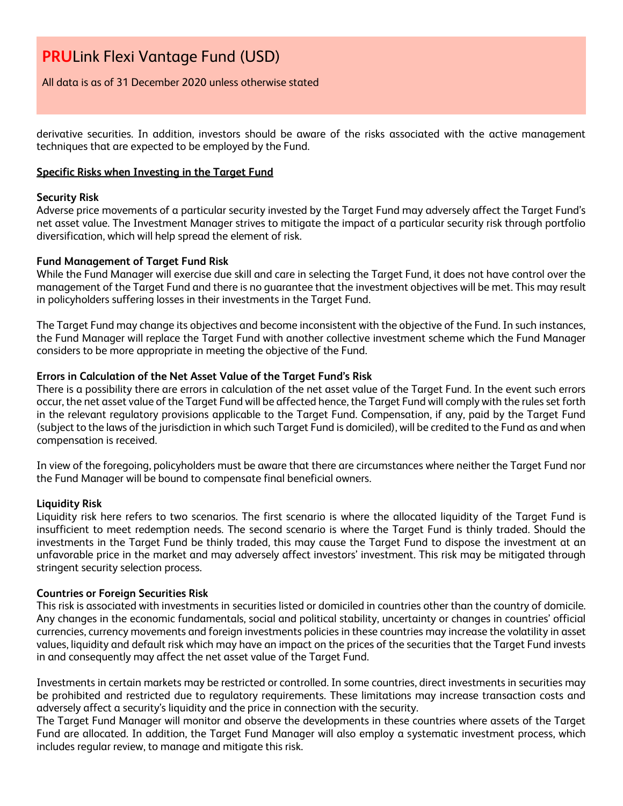All data is as of 31 December 2020 unless otherwise stated

derivative securities. In addition, investors should be aware of the risks associated with the active management techniques that are expected to be employed by the Fund.

## **Specific Risks when Investing in the Target Fund**

### **Security Risk**

Adverse price movements of a particular security invested by the Target Fund may adversely affect the Target Fund's net asset value. The Investment Manager strives to mitigate the impact of a particular security risk through portfolio diversification, which will help spread the element of risk.

### **Fund Management of Target Fund Risk**

While the Fund Manager will exercise due skill and care in selecting the Target Fund, it does not have control over the management of the Target Fund and there is no guarantee that the investment objectives will be met. This may result in policyholders suffering losses in their investments in the Target Fund.

The Target Fund may change its objectives and become inconsistent with the objective of the Fund. In such instances, the Fund Manager will replace the Target Fund with another collective investment scheme which the Fund Manager considers to be more appropriate in meeting the objective of the Fund.

### **Errors in Calculation of the Net Asset Value of the Target Fund's Risk**

There is a possibility there are errors in calculation of the net asset value of the Target Fund. In the event such errors occur, the net asset value of the Target Fund will be affected hence, the Target Fund will comply with the rules set forth in the relevant regulatory provisions applicable to the Target Fund. Compensation, if any, paid by the Target Fund (subject to the laws of the jurisdiction in which such Target Fund is domiciled), will be credited to the Fund as and when compensation is received.

In view of the foregoing, policyholders must be aware that there are circumstances where neither the Target Fund nor the Fund Manager will be bound to compensate final beneficial owners.

### **Liquidity Risk**

Liquidity risk here refers to two scenarios. The first scenario is where the allocated liquidity of the Target Fund is insufficient to meet redemption needs. The second scenario is where the Target Fund is thinly traded. Should the investments in the Target Fund be thinly traded, this may cause the Target Fund to dispose the investment at an unfavorable price in the market and may adversely affect investors' investment. This risk may be mitigated through stringent security selection process.

### **Countries or Foreign Securities Risk**

This risk is associated with investments in securities listed or domiciled in countries other than the country of domicile. Any changes in the economic fundamentals, social and political stability, uncertainty or changes in countries' official currencies, currency movements and foreign investments policies in these countries may increase the volatility in asset values, liquidity and default risk which may have an impact on the prices of the securities that the Target Fund invests in and consequently may affect the net asset value of the Target Fund.

Investments in certain markets may be restricted or controlled. In some countries, direct investments in securities may be prohibited and restricted due to regulatory requirements. These limitations may increase transaction costs and adversely affect a security's liquidity and the price in connection with the security.

The Target Fund Manager will monitor and observe the developments in these countries where assets of the Target Fund are allocated. In addition, the Target Fund Manager will also employ a systematic investment process, which includes regular review, to manage and mitigate this risk.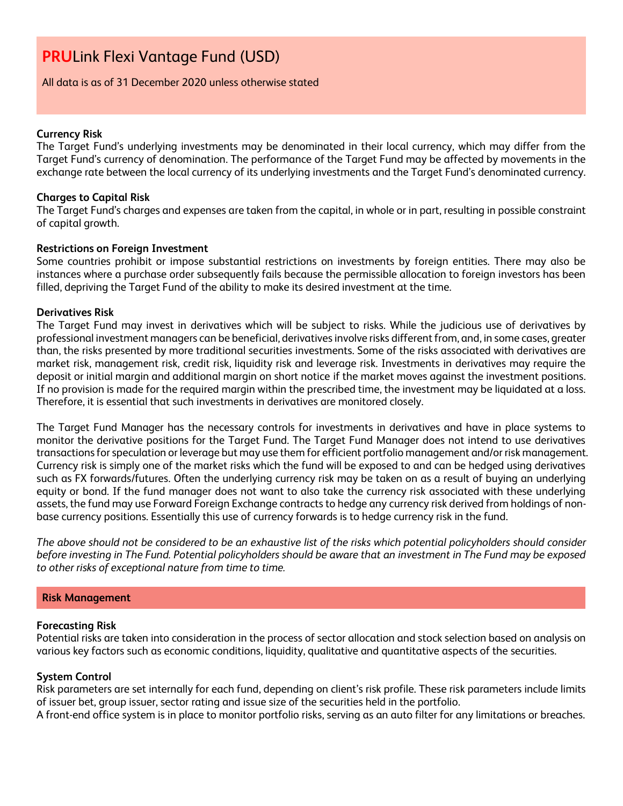### All data is as of 31 December 2020 unless otherwise stated

### **Currency Risk**

The Target Fund's underlying investments may be denominated in their local currency, which may differ from the Target Fund's currency of denomination. The performance of the Target Fund may be affected by movements in the exchange rate between the local currency of its underlying investments and the Target Fund's denominated currency.

### **Charges to Capital Risk**

The Target Fund's charges and expenses are taken from the capital, in whole or in part, resulting in possible constraint of capital growth.

### **Restrictions on Foreign Investment**

Some countries prohibit or impose substantial restrictions on investments by foreign entities. There may also be instances where a purchase order subsequently fails because the permissible allocation to foreign investors has been filled, depriving the Target Fund of the ability to make its desired investment at the time.

### **Derivatives Risk**

The Target Fund may invest in derivatives which will be subject to risks. While the judicious use of derivatives by professional investment managers can be beneficial, derivatives involve risks different from, and, in some cases, greater than, the risks presented by more traditional securities investments. Some of the risks associated with derivatives are market risk, management risk, credit risk, liquidity risk and leverage risk. Investments in derivatives may require the deposit or initial margin and additional margin on short notice if the market moves against the investment positions. If no provision is made for the required margin within the prescribed time, the investment may be liquidated at a loss. Therefore, it is essential that such investments in derivatives are monitored closely.

The Target Fund Manager has the necessary controls for investments in derivatives and have in place systems to monitor the derivative positions for the Target Fund. The Target Fund Manager does not intend to use derivatives transactions for speculation or leverage but may use them for efficient portfolio management and/or risk management. Currency risk is simply one of the market risks which the fund will be exposed to and can be hedged using derivatives such as FX forwards/futures. Often the underlying currency risk may be taken on as a result of buying an underlying equity or bond. If the fund manager does not want to also take the currency risk associated with these underlying assets, the fund may use Forward Foreign Exchange contracts to hedge any currency risk derived from holdings of nonbase currency positions. Essentially this use of currency forwards is to hedge currency risk in the fund.

*The above should not be considered to be an exhaustive list of the risks which potential policyholders should consider before investing in The Fund. Potential policyholders should be aware that an investment in The Fund may be exposed to other risks of exceptional nature from time to time.*

### **Risk Management**

### **Forecasting Risk**

Potential risks are taken into consideration in the process of sector allocation and stock selection based on analysis on various key factors such as economic conditions, liquidity, qualitative and quantitative aspects of the securities.

### **System Control**

Risk parameters are set internally for each fund, depending on client's risk profile. These risk parameters include limits of issuer bet, group issuer, sector rating and issue size of the securities held in the portfolio.

A front-end office system is in place to monitor portfolio risks, serving as an auto filter for any limitations or breaches.